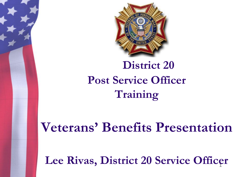

### **District 20 Post Service Officer Training**

**Veterans' Benefits Presentation**

Lee Rivas, District 20 Service Officer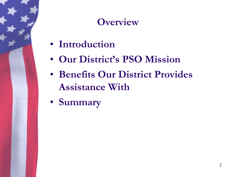### **Overview**

- **Introduction**
- **Our District's PSO Mission**
- **Benefits Our District Provides Assistance With**
- **Summary**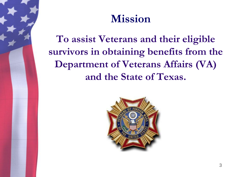### **Mission**

**To assist Veterans and their eligible survivors in obtaining benefits from the Department of Veterans Affairs (VA) and the State of Texas.**

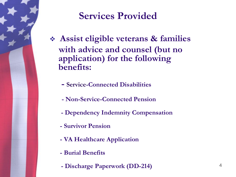

#### **Services Provided**

- ❖ **Assist eligible veterans & families with advice and counsel (but no application) for the following benefits:**
	- **- Service-Connected Disabilities**
	- **- Non-Service-Connected Pension**
	- **- Dependency Indemnity Compensation**
	- **- Survivor Pension**
	- **- VA Healthcare Application**
	- **- Burial Benefits**
	- **- Discharge Paperwork (DD-214)**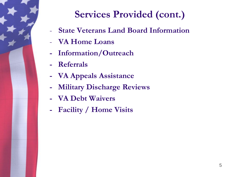

### **Services Provided (cont.)**

- **State Veterans Land Board Information**
- **VA Home Loans**
- **- Information/Outreach**
- **- Referrals**
- **- VA Appeals Assistance**
- **- Military Discharge Reviews**
- **- VA Debt Waivers**
- **- Facility / Home Visits**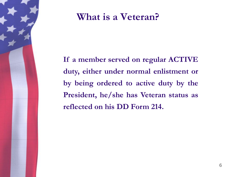

#### **What is a Veteran?**

**If a member served on regular ACTIVE duty, either under normal enlistment or by being ordered to active duty by the President, he/she has Veteran status as reflected on his DD Form 214.**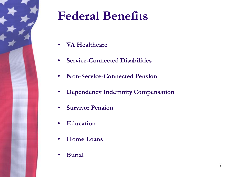

### **Federal Benefits**

- **VA Healthcare**
- **Service-Connected Disabilities**
- **Non-Service-Connected Pension**
- **Dependency Indemnity Compensation**
- **Survivor Pension**
- **Education**
- **Home Loans**
- **Burial**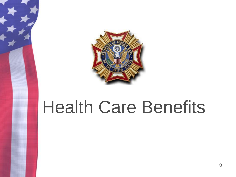

# Health Care Benefits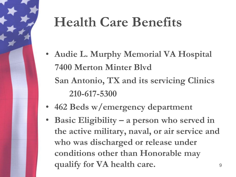### **Health Care Benefits**

- **Audie L. Murphy Memorial VA Hospital 7400 Merton Minter Blvd San Antonio, TX and its servicing Clinics 210-617-5300**
- **462 Beds w/emergency department**
- **Basic Eligibility – a person who served in the active military, naval, or air service and who was discharged or release under conditions other than Honorable may qualify for VA health care.** 9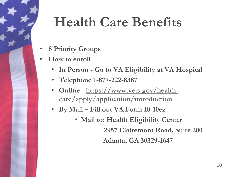### **Health Care Benefits**

- **8 Priority Groups**
- **How to enroll**
	- **In Person - Go to VA Eligibility at VA Hospital**
	- **Telephone 1-877-222-8387**
	- **Online - https://www.vets.gov/health[care/apply/application/introduction](https://www.vets.gov/health-care/apply/application/introduction)**
	- **By Mail – Fill out VA Form 10-10ez**
		- **Mail to: Health Eligibility Center 2957 Clairemont Road, Suite 200 Atlanta, GA 30329-1647**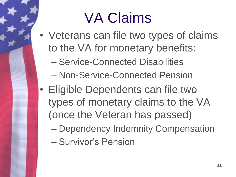# VA Claims

- Veterans can file two types of claims to the VA for monetary benefits:
	- Service-Connected Disabilities
	- Non-Service-Connected Pension
- Eligible Dependents can file two types of monetary claims to the VA (once the Veteran has passed)
	- Dependency Indemnity Compensation
	- Survivor's Pension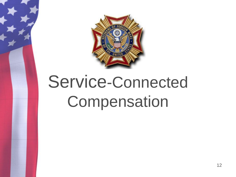

# Service-Connected Compensation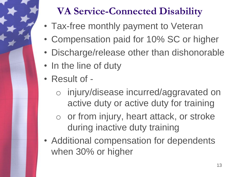### **VA Service-Connected Disability**

- Tax-free monthly payment to Veteran
- Compensation paid for 10% SC or higher
- Discharge/release other than dishonorable
- In the line of duty
- Result of
	- o injury/disease incurred/aggravated on active duty or active duty for training
	- o or from injury, heart attack, or stroke during inactive duty training
- Additional compensation for dependents when 30% or higher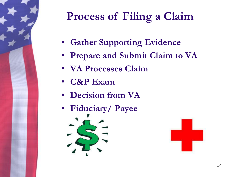

### **Process of Filing a Claim**

- **Gather Supporting Evidence**
- **Prepare and Submit Claim to VA**
- **VA Processes Claim**
- **C&P Exam**
- **Decision from VA**
- **Fiduciary/ Payee**



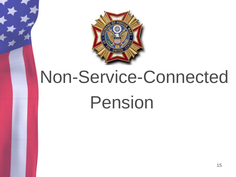

# Non-Service-Connected Pension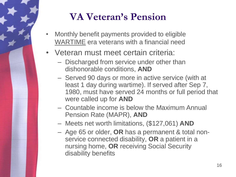### **VA Veteran's Pension**

- Monthly benefit payments provided to eligible WARTIME era veterans with a financial need
- Veteran must meet certain criteria:
	- Discharged from service under other than dishonorable conditions, **AND**
	- Served 90 days or more in active service (with at least 1 day during wartime). If served after Sep 7, 1980, must have served 24 months or full period that were called up for **AND**
	- Countable income is below the Maximum Annual Pension Rate (MAPR), **AND**
	- Meets net worth limitations, (\$127,061) **AND**
	- Age 65 or older, **OR** has a permanent & total nonservice connected disability, **OR** a patient in a nursing home, **OR** receiving Social Security disability benefits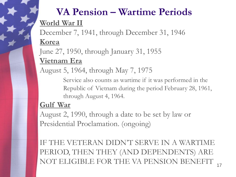### **VA Pension – Wartime Periods World War II**

December 7, 1941, through December 31, 1946 **Korea** 

June 27, 1950, through January 31, 1955

#### **Vietnam Era**

August 5, 1964, through May 7, 1975

Service also counts as wartime if it was performed in the Republic of Vietnam during the period February 28, 1961, through August 4, 1964.

#### **Gulf War**

August 2, 1990, through a date to be set by law or Presidential Proclamation. (ongoing)

IF THE VETERAN DIDN'T SERVE IN A WARTIME PERIOD, THEN THEY (AND DEPENDENTS) ARE NOT ELIGIBLE FOR THE VA PENSION BENEFIT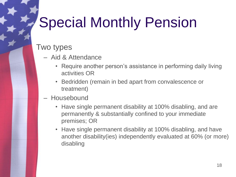## Special Monthly Pension

#### Two types

- Aid & Attendance
	- Require another person's assistance in performing daily living activities OR
	- Bedridden (remain in bed apart from convalescence or treatment)
- Housebound
	- Have single permanent disability at 100% disabling, and are permanently & substantially confined to your immediate premises; OR
	- Have single permanent disability at 100% disabling, and have another disability(ies) independently evaluated at 60% (or more) disabling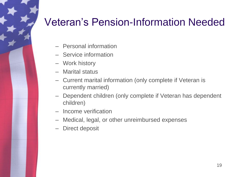### Veteran's Pension-Information Needed

- Personal information
- Service information
- Work history
- Marital status
- Current marital information (only complete if Veteran is currently married)
- Dependent children (only complete if Veteran has dependent children)
- Income verification
- Medical, legal, or other unreimbursed expenses
- Direct deposit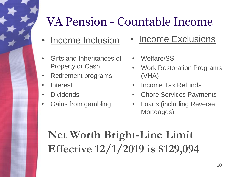### VA Pension - Countable Income

- 
- Gifts and Inheritances of Property or Cash
- Retirement programs
- Interest
- Dividends
- Gains from gambling
- Income Inclusion Income Exclusions
	- Welfare/SSI
	- Work Restoration Programs (VHA)
	- Income Tax Refunds
	- **Chore Services Payments**
	- Loans (including Reverse Mortgages)

### **Net Worth Bright-Line Limit Effective 12/1/2019 is \$129,094**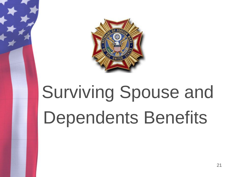

# Surviving Spouse and Dependents Benefits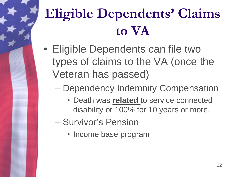## **Eligible Dependents' Claims to VA**

- Eligible Dependents can file two types of claims to the VA (once the Veteran has passed)
	- Dependency Indemnity Compensation
		- Death was **related** to service connected disability or 100% for 10 years or more.
	- Survivor's Pension
		- Income base program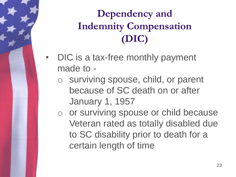### **Dependency and Indemnity Compensation (DIC)**

- DIC is a tax-free monthly payment made to
	- o surviving spouse, child, or parent because of SC death on or after January 1, 1957
	- o or surviving spouse or child because Veteran rated as totally disabled due to SC disability prior to death for a certain length of time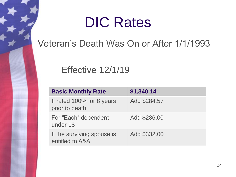### DIC Rates

#### Veteran's Death Was On or After 1/1/1993

#### Effective 12/1/19

| <b>Basic Monthly Rate</b>                     | \$1,340.14   |
|-----------------------------------------------|--------------|
| If rated 100% for 8 years<br>prior to death   | Add \$284.57 |
| For "Each" dependent<br>under 18              | Add \$286.00 |
| If the surviving spouse is<br>entitled to A&A | Add \$332.00 |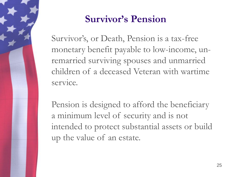

#### **Survivor's Pension**

Survivor's, or Death, Pension is a tax-free monetary benefit payable to low-income, unremarried surviving spouses and unmarried children of a deceased Veteran with wartime service.

Pension is designed to afford the beneficiary a minimum level of security and is not intended to protect substantial assets or build up the value of an estate.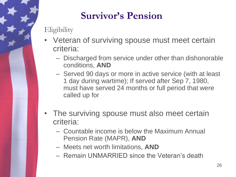### **Survivor's Pension**

#### **Eligibility**

- Veteran of surviving spouse must meet certain criteria:
	- Discharged from service under other than dishonorable conditions, **AND**
	- Served 90 days or more in active service (with at least 1 day during wartime); If served after Sep 7, 1980, must have served 24 months or full period that were called up for
- The surviving spouse must also meet certain criteria:
	- Countable income is below the Maximum Annual Pension Rate (MAPR), **AND**
	- Meets net worth limitations, **AND**
	- Remain UNMARRIED since the Veteran's death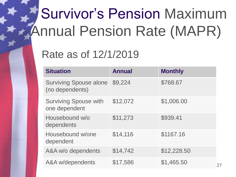# Survivor's Pension Maximum Annual Pension Rate (MAPR)

### Rate as of 12/1/2019

| <b>Situation</b>                                 | <b>Annual</b> | <b>Monthly</b> |
|--------------------------------------------------|---------------|----------------|
| <b>Surviving Spouse alone</b><br>(no dependents) | \$9,224       | \$768.67       |
| <b>Surviving Spouse with</b><br>one dependent    | \$12,072      | \$1,006.00     |
| Housebound w/o<br>dependents                     | \$11,273      | \$939.41       |
| Housebound w/one<br>dependent                    | \$14,116      | \$1167.16      |
| A&A w/o dependents                               | \$14,742      | \$12,228.50    |
| A&A w/dependents                                 | \$17,586      | \$1,465.50     |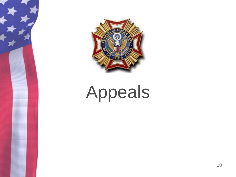

# Appeals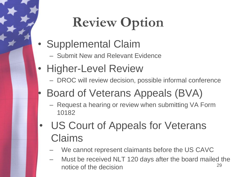## **Review Option**

- Supplemental Claim
	- Submit New and Relevant Evidence
- Higher-Level Review
	- DROC will review decision, possible informal conference
- Board of Veterans Appeals (BVA)
	- Request a hearing or review when submitting VA Form 10182
- US Court of Appeals for Veterans Claims
	- We cannot represent claimants before the US CAVC
	- Must be received NLT 120 days after the board mailed the notice of the decision 29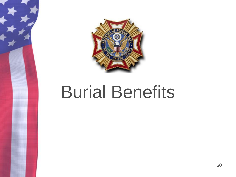

# Burial Benefits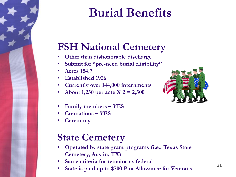### **Burial Benefits**

#### **FSH National Cemetery**

- **Other than dishonorable discharge**
- **Submit for "pre-need burial eligibility"**
- **Acres 154.7**
- **Established 1926**
- **Currently over 144,000 internments**
- **About 1,250 per acre X 2 = 2,500**
- **Family members – YES**
- **Cremations – YES**
- **Ceremony**

### **State Cemetery**

- **Operated by state grant programs (i.e., Texas State Cemetery, Austin, TX)**
- **Same criteria for remains as federal**
- **State is paid up to \$700 Plot Allowance for Veterans** <sup>31</sup>

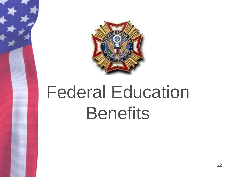

# Federal Education **Benefits**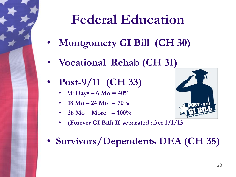### **Federal Education**

- **Montgomery GI Bill (CH 30)**
- **Vocational Rehab (CH 31)**
- **Post-9/11 (CH 33)**
	- **90 Days 6 Mo =**  $40\%$
	- **18 Mo 24 Mo =**  $70\%$
	- $36 \text{ Mo} \text{More } = 100\%$ 
		- **(Forever GI Bill) If separated after 1/1/13**



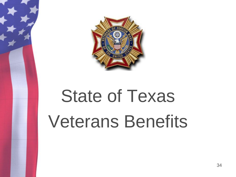

# State of Texas Veterans Benefits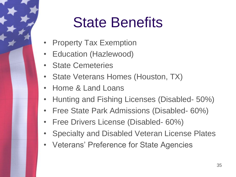## State Benefits

- **Property Tax Exemption**
- Education (Hazlewood)
- State Cemeteries
- State Veterans Homes (Houston, TX)
- Home & Land Loans
- Hunting and Fishing Licenses (Disabled- 50%)
- Free State Park Admissions (Disabled- 60%)
- Free Drivers License (Disabled- 60%)
- Specialty and Disabled Veteran License Plates
- Veterans' Preference for State Agencies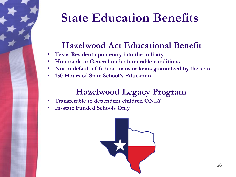### **State Education Benefits**

#### **Hazelwood Act Educational Benefit**

- **Texas Resident upon entry into the military**
- **Honorable or General under honorable conditions**
- **Not in default of federal loans or loans guaranteed by the state**
- **150 Hours of State School's Education**

#### **Hazelwood Legacy Program**

- **Transferable to dependent children ONLY**
- **In-state Funded Schools Only**

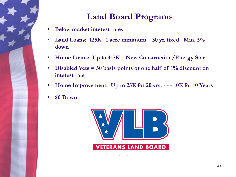

#### **Land Board Programs**

- **Below market interest rates**
- **Land Loans: 125K 1 acre minimum 30 yr. fixed Min. 5% down**
- **Home Loans: Up to 417K New Construction/Energy Star**
- **Disabled Vets = 50 basis points or one half of 1% discount on interest rate**
- **Home Improvement: Up to 25K for 20 yrs. - - - 10K for 10 Years**
- **\$0 Down**

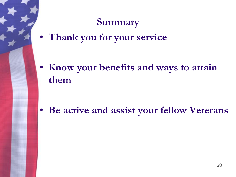#### **Summary**

• **Thank you for your service**

• **Know your benefits and ways to attain them**

• **Be active and assist your fellow Veterans**